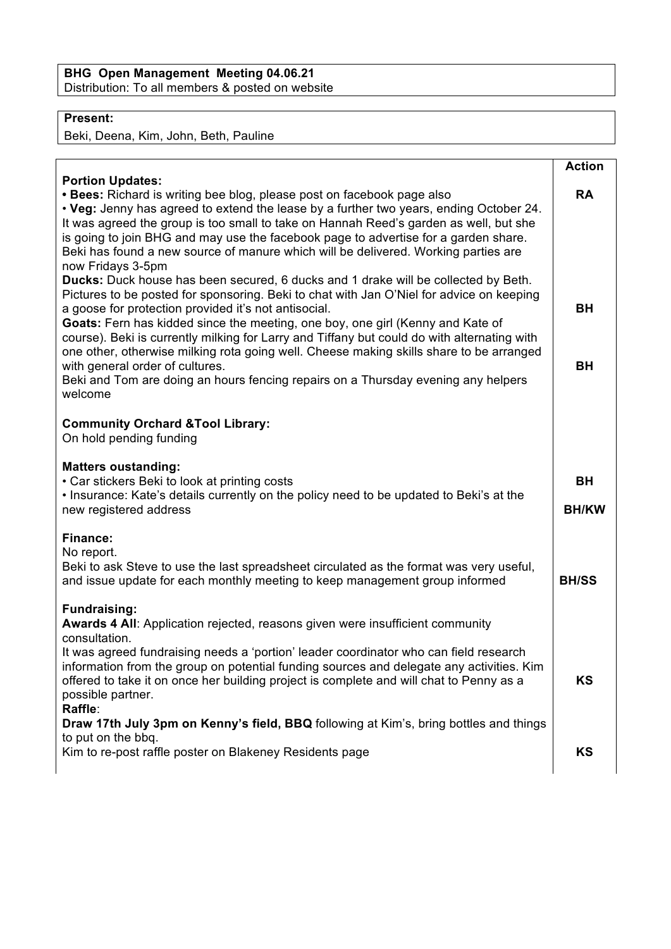## **BHG Open Management Meeting 04.06.21** Distribution: To all members & posted on website

## **Present:**

Beki, Deena, Kim, John, Beth, Pauline

|                                                                                                                                                                                                                                                                                                                                                                                                                                                                                                                                                       | <b>Action</b>             |
|-------------------------------------------------------------------------------------------------------------------------------------------------------------------------------------------------------------------------------------------------------------------------------------------------------------------------------------------------------------------------------------------------------------------------------------------------------------------------------------------------------------------------------------------------------|---------------------------|
| <b>Portion Updates:</b><br>• Bees: Richard is writing bee blog, please post on facebook page also<br>• Veg: Jenny has agreed to extend the lease by a further two years, ending October 24.<br>It was agreed the group is too small to take on Hannah Reed's garden as well, but she<br>is going to join BHG and may use the facebook page to advertise for a garden share.<br>Beki has found a new source of manure which will be delivered. Working parties are<br>now Fridays 3-5pm                                                                | <b>RA</b>                 |
| Ducks: Duck house has been secured, 6 ducks and 1 drake will be collected by Beth.<br>Pictures to be posted for sponsoring. Beki to chat with Jan O'Niel for advice on keeping<br>a goose for protection provided it's not antisocial.<br>Goats: Fern has kidded since the meeting, one boy, one girl (Kenny and Kate of<br>course). Beki is currently milking for Larry and Tiffany but could do with alternating with<br>one other, otherwise milking rota going well. Cheese making skills share to be arranged<br>with general order of cultures. | <b>BH</b><br><b>BH</b>    |
| Beki and Tom are doing an hours fencing repairs on a Thursday evening any helpers<br>welcome<br><b>Community Orchard &amp; Tool Library:</b>                                                                                                                                                                                                                                                                                                                                                                                                          |                           |
| On hold pending funding                                                                                                                                                                                                                                                                                                                                                                                                                                                                                                                               |                           |
| <b>Matters oustanding:</b><br>• Car stickers Beki to look at printing costs<br>. Insurance: Kate's details currently on the policy need to be updated to Beki's at the<br>new registered address                                                                                                                                                                                                                                                                                                                                                      | <b>BH</b><br><b>BH/KW</b> |
| <b>Finance:</b><br>No report.<br>Beki to ask Steve to use the last spreadsheet circulated as the format was very useful,<br>and issue update for each monthly meeting to keep management group informed                                                                                                                                                                                                                                                                                                                                               | <b>BH/SS</b>              |
| <b>Fundraising:</b><br>Awards 4 All: Application rejected, reasons given were insufficient community<br>consultation.<br>It was agreed fundraising needs a 'portion' leader coordinator who can field research<br>information from the group on potential funding sources and delegate any activities. Kim<br>offered to take it on once her building project is complete and will chat to Penny as a<br>possible partner.                                                                                                                            | <b>KS</b>                 |
| Raffle:<br>Draw 17th July 3pm on Kenny's field, BBQ following at Kim's, bring bottles and things<br>to put on the bbq.<br>Kim to re-post raffle poster on Blakeney Residents page                                                                                                                                                                                                                                                                                                                                                                     | KS                        |